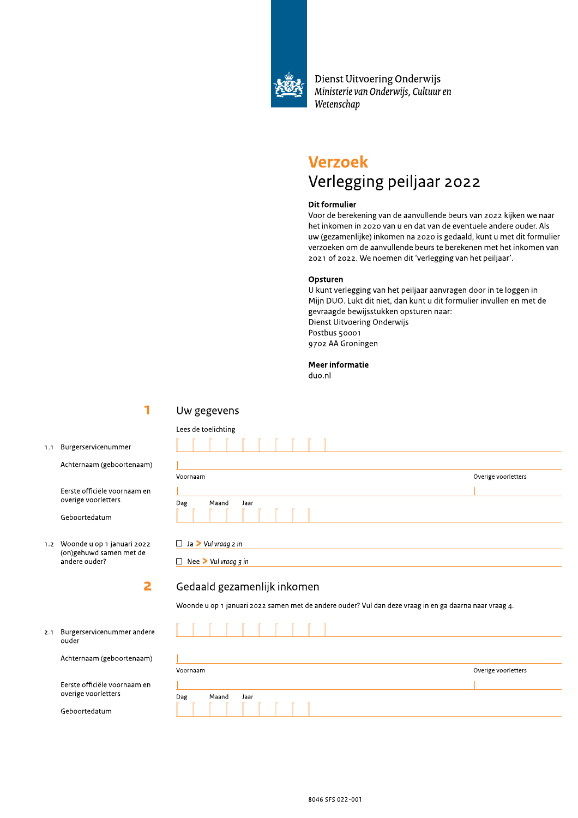

Dienst Uitvoering Onderwijs Ministerie van Onderwijs, Cultuur en Wetenschap

# **Verzoek** Verlegging peiljaar 2022

## **Dit formulier**

Voor de berekening van de aanvullende beurs van 2022 kijken we naar het inkomen in 2020 van u en dat van de eventuele andere ouder. Als uw (gezamenlijke) inkomen na 2020 is gedaald, kunt u met dit formulier verzoeken om de aanvullende beurs te berekenen met het inkomen van 2021 of 2022. We noemen dit 'verlegging van het peiljaar'.

## Opsturen

U kunt verlegging van het peiljaar aanvragen door in te loggen in Mijn DUO. Lukt dit niet, dan kunt u dit formulier invullen en met de gevraagde bewijsstukken opsturen naar: Dienst Uitvoering Onderwijs Postbus 50001 9702 AA Groningen

## **Meer informatie**

duo.nl

1

 $\overline{\mathbf{2}}$ 

## Uw gegevens

 $1.1$ Burgerservicenummer

Achternaam (geboortenaam)

Eerste officiële voornaam en overige voorletters

Geboortedatum

1.2 Woonde u op 1 januari 2022 (on)gehuwd samen met de andere ouder?

 $2.1$ Burgerservicenummer andere ouder

Achternaam (geboortenaam)

Eerste officiële voornaam en overige voorletters

Geboortedatum

| Lees de toelichting  |                     |
|----------------------|---------------------|
|                      |                     |
|                      |                     |
| Voornaam             | Overige voorletters |
|                      |                     |
| Maand<br>Dag<br>Jaar |                     |
|                      |                     |

 $\Box$  Ja > Vul vraag 2 in

 $\Box$  Nee > Vul vraag  $\overline{3}$  in

## Gedaald gezamenlijk inkomen

Woonde u op 1 januari 2022 samen met de andere ouder? Vul dan deze vraag in en ga daarna naar vraag 4.

| Voornaam |       |      |  |  | Overige voorletters |
|----------|-------|------|--|--|---------------------|
|          |       |      |  |  |                     |
| Dag      | Maand | Jaar |  |  |                     |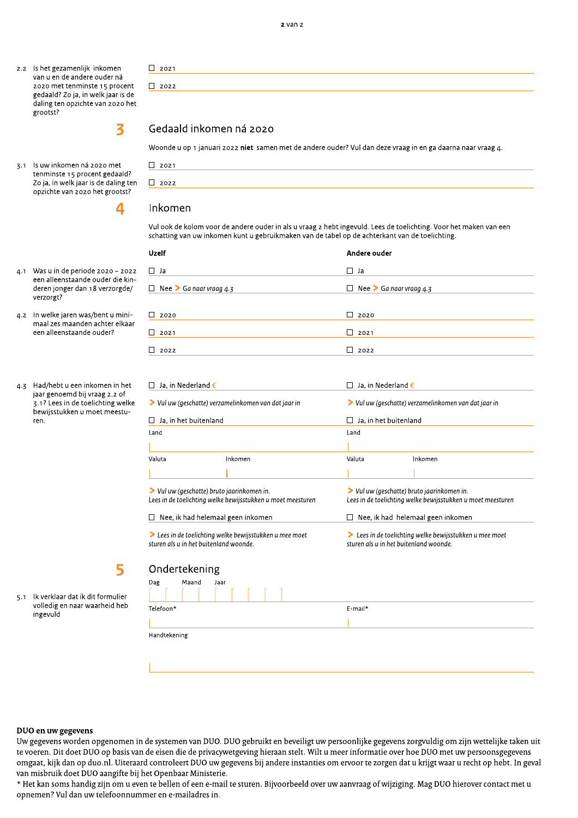3.1 Is uw inkomen ná 2020 met tenminste 15 procent gedaald? Zo ja, in welk jaar is de daling ten opzichte van 2020 het grootst?

4.1 Was u in de periode 2020 - 2022 een alleenstaande ouder die kinderen jonger dan 18 verzorgde/

4.2 In welke jaren was/bent u minimaal zes maanden achter elkaar een alleenstaande ouder?

4.3 Had/hebt u een inkomen in het jaar genoemd bij vraag 2.2 of 3.1? Lees in de toelichting welke bewijsstukken u moet meestu-

verzorgt?

ren.



3

 $\overline{\mathbf{a}}$ 

## Inkomen

 $\Box$  2021

 $\Box$  2021

 $\Box$  2022

Gedaald inkomen ná 2020

Vul ook de kolom voor de andere ouder in als u vraag 2 hebt ingevuld. Lees de toelichting. Voor het maken van een schatting van uw inkomen kunt u gebruikmaken van de tabel op de achterkant van de toelichting.

Woonde u op 1 januari 2022 niet samen met de andere ouder? Vul dan deze vraag in en ga daarna naar vraag 4.

| <b>Uzelf</b>                   | Andere ouder                   |
|--------------------------------|--------------------------------|
| $\Box$ Ja                      | $\Box$ Ja                      |
| $\Box$ Nee > Ga naar vraag 4.3 | $\Box$ Nee > Ga naar vraag 4.3 |
|                                |                                |
| $\Box$ 2020                    | $\Box$<br>2020                 |
| $\Box$ 2021                    | $\Box$<br>2021                 |
| $\Box$ 2022                    | $\blacksquare$<br>2022         |

| Ja. in Nederland $\epsilon$                                         |                                                             | Ja. in Nederland €                                                                                        |                                                       |  |  |  |
|---------------------------------------------------------------------|-------------------------------------------------------------|-----------------------------------------------------------------------------------------------------------|-------------------------------------------------------|--|--|--|
| $\triangleright$ Vul uw (geschatte) verzamelinkomen van dat jaar in |                                                             | $\triangleright$ Vul uw (geschatte) verzamelinkomen van dat jaar in                                       |                                                       |  |  |  |
| Ja. in het buitenland<br>$\mathbf{I}$                               |                                                             | Ja. in het buitenland                                                                                     |                                                       |  |  |  |
| Land                                                                |                                                             | Land                                                                                                      |                                                       |  |  |  |
|                                                                     |                                                             |                                                                                                           |                                                       |  |  |  |
| Valuta                                                              | Inkomen                                                     | Valuta                                                                                                    | Inkomen                                               |  |  |  |
|                                                                     |                                                             |                                                                                                           |                                                       |  |  |  |
| > Vul uw (geschatte) bruto jaarinkomen in.                          | Lees in de toelichting welke bewijsstukken u moet meesturen | > Vul uw (geschatte) bruto jaarinkomen in.<br>Lees in de toelichting welke bewijsstukken u moet meesturen |                                                       |  |  |  |
| Nee, ik had helemaal geen inkomen                                   |                                                             | Nee, ik had helemaal geen inkomen                                                                         |                                                       |  |  |  |
| sturen als u in het buitenland woonde.                              | > Lees in de toelichting welke bewijsstukken u mee moet     | sturen als u in het buitenland woonde.                                                                    | Lees in de toelichting welke bewijsstukken u mee moet |  |  |  |

5

Ik verklaar dat ik dit formulier  $5.1$ volledig en naar waarheid heb ingevuld

|              | Ondertekening |      |  |  |  |         |  |  |  |
|--------------|---------------|------|--|--|--|---------|--|--|--|
| Dag          | Maand         | Jaar |  |  |  |         |  |  |  |
|              |               |      |  |  |  |         |  |  |  |
| Telefoon*    |               |      |  |  |  | E-mail* |  |  |  |
|              |               |      |  |  |  |         |  |  |  |
| Handtekening |               |      |  |  |  |         |  |  |  |
|              |               |      |  |  |  |         |  |  |  |

## DUO en uw gegevens

Uw gegevens worden opgenomen in de systemen van DUO. DUO gebruikt en beveiligt uw persoonlijke gegevens zorgvuldig om zijn wettelijke taken uit te voeren. Dit doet DUO op basis van de eisen die de privacywetgeving hieraan stelt. Wilt u meer informatie over hoe DUO met uw persoonsgegevens omgaat, kijk dan op duo.nl. Uiteraard controleert DUO uw gegevens bij andere instanties om ervoor te zorgen dat u krijgt waar u recht op hebt. In geval van misbruik doet DUO aangifte bij het Openbaar Ministerie.

\* Het kan soms handig zijn om u even te bellen of een e-mail te sturen. Bijvoorbeeld over uw aanvraag of wijziging. Mag DUO hierover contact met u opnemen? Vul dan uw telefoonnummer en e-mailadres in.

 $2$  van  $2$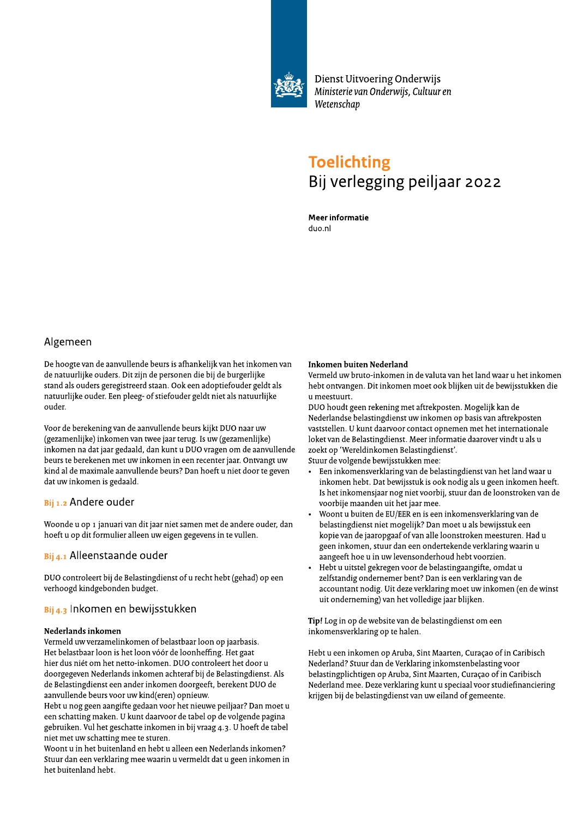

# **Toelichting**<br>Bij verlegging peiljaar 2022<br>Meerinformatie<br>duo.nl

## Algemeen

De hoogte van de aanvullende beurs is afhankelijk van het inkomen van de natuurlijke ouders. Dit zijn de personen die bij de burgerlijke stand als ouders geregistreerd staan. Ook een adoptiefouder geldt als natuurlijke ouder. Een pleeg- of stiefouder geldt niet als natuurlijke ouder.

Voor de berekening van de aanvullende beurs kijkt DUO naar uw (gezamenlijke) inkomen van twee jaar terug. Is uw (gezamenlijke) inkomen na dat jaar gedaald, dan kunt u DUO vragen om de aanvullende beurs te berekenen met uw inkomen in een recenter jaar. Ontvangt uw kind al de maximale aanvullende beurs? Dan hoeft u niet door te geven dat uw inkomen is gedaald.

## Bij 1.2 Andere ouder

Woonde u op 1 januari van dit jaar niet samen met de andere ouder, dan hoeft u op dit formulier alleen uw eigen gegevens in te vullen.

## $B$ ij 4.1 Alleenstaande ouder

DUO controleert bij de Belastingdienst of u recht hebt (gehad) op een verhoogd kindgebonden budget.

## Bij 4.3 Inkomen en bewijsstukken

## Nederlands inkomen

Vermeld uw verzamelinkomen of belastbaar loon op jaarbasis. Het belastbaar loon is het loon vóór de loonheffing. Het gaat hier dus niét om het netto-inkomen. DUO controleert het door u doorgegeven Nederlands inkomen achteraf bij de Belastingdienst. Als de Belastingdienst een ander inkomen doorgeeft, berekent DUO de aanvullende beurs voor uw kind(eren) opnieuw.

Hebt u nog geen aangifte gedaan voor het nieuwe peiljaar? Dan moet u een schatting maken. U kunt daarvoor de tabel op de volgende pagina gebruiken. Vul het geschatte inkomen in bij vraag 4.3. U hoeft de tabel niet met uw schatting mee te sturen.

Woont u in het buitenland en hebt u alleen een Nederlands inkomen? Stuur dan een verklaring mee waarin u vermeldt dat u geen inkomen in het buitenland hebt.

## Inkomen buiten Nederland

Vermeld uw bruto-inkomen in de valuta van het land waar u het inkomen hebt ontvangen. Dit inkomen moet ook blijken uit de bewijsstukken die u meestuurt.

DUO houdt geen rekening met aftrekposten. Mogelijk kan de Nederlandse belastingdienst uw inkomen op basis van aftrekposten vaststellen. U kunt daarvoor contact opnemen met het internationale loket van de Belastingdienst. Meer informatie daarover vindt u als u zoekt op 'Wereldinkomen Belastingdienst'.

Stuur de volgende bewijsstukken mee:

- Een inkomensverklaring van de belastingdienst van het land waar u inkomen hebt. Dat bewijsstuk is ook nodig als u geen inkomen heeft. Is het inkomensjaar nog niet voorbij, stuur dan de loonstroken van de voorbije maanden uit het jaar mee.
- Woont u buiten de EU/EER en is een inkomensverklaring van de belastingdienst niet mogelijk? Dan moet u als bewijsstuk een kopie van de jaaropgaaf of van alle loonstroken meesturen. Had u geen inkomen, stuur dan een ondertekende verklaring waarin u aangeeft hoe u in uw levensonderhoud hebt voorzien.
- Hebt u uitstel gekregen voor de belastingaangifte, omdat u zelfstandig ondernemer bent? Dan is een verklaring van de accountant nodig. Uit deze verklaring moet uw inkomen (en de winst uit onderneming) van het volledige jaar blijken.

Ti**p**! Log in op de website van de belastingdienst om een inkomensverklaring op te halen.

Hebt u een inkomen op Aruba, Sint Maarten, Curaçao of in Caribisch Nederland? Stuur dan de Verklaring inkomstenbelasting voor belastingplichtigen op Aruba, Sint Maarten, Curaçao of in Caribisch Nederland mee. Deze verklaring kunt u speciaal voor studiefinanciering krijgen bij de belastingdienst van uw eiland of gemeente.